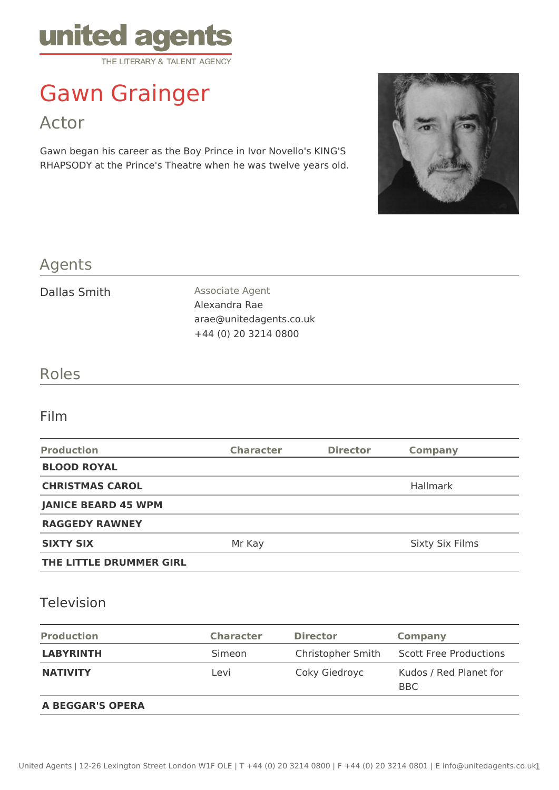

# Gawn Grainger

Actor

Gawn began his career as the Boy Prince in Ivor Novello's KING'S RHAPSODY at the Prince's Theatre when he was twelve years old.



# Agents

Dallas Smith Associate Agent Alexandra Rae arae@unitedagents.co.uk +44 (0) 20 3214 0800

# Roles

### Film

| <b>Production</b>          | <b>Character</b> | <b>Director</b> | <b>Company</b>         |
|----------------------------|------------------|-----------------|------------------------|
| <b>BLOOD ROYAL</b>         |                  |                 |                        |
| <b>CHRISTMAS CAROL</b>     |                  |                 | <b>Hallmark</b>        |
| <b>JANICE BEARD 45 WPM</b> |                  |                 |                        |
| <b>RAGGEDY RAWNEY</b>      |                  |                 |                        |
| <b>SIXTY SIX</b>           | Mr Kay           |                 | <b>Sixty Six Films</b> |
| THE LITTLE DRUMMER GIRL    |                  |                 |                        |

### Television

| <b>Production</b>       | <b>Character</b> | <b>Director</b>   | Company                              |
|-------------------------|------------------|-------------------|--------------------------------------|
| <b>LABYRINTH</b>        | Simeon           | Christopher Smith | <b>Scott Free Productions</b>        |
| <b>NATIVITY</b>         | Levi             | Coky Giedroyc     | Kudos / Red Planet for<br><b>BBC</b> |
| <b>A BEGGAR'S OPERA</b> |                  |                   |                                      |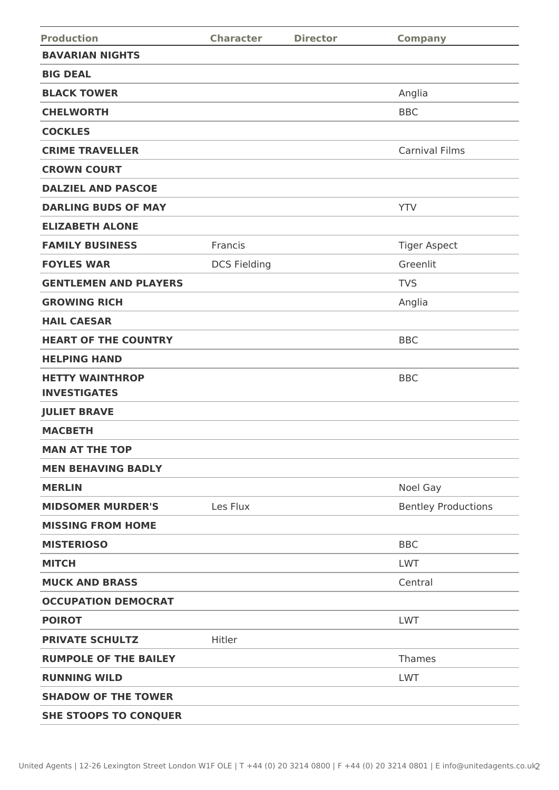| <b>Production</b>                             | <b>Character</b>    | <b>Director</b> | <b>Company</b>             |
|-----------------------------------------------|---------------------|-----------------|----------------------------|
| <b>BAVARIAN NIGHTS</b>                        |                     |                 |                            |
| <b>BIG DEAL</b>                               |                     |                 |                            |
| <b>BLACK TOWER</b>                            |                     |                 | Anglia                     |
| <b>CHELWORTH</b>                              |                     |                 | <b>BBC</b>                 |
| <b>COCKLES</b>                                |                     |                 |                            |
| <b>CRIME TRAVELLER</b>                        |                     |                 | <b>Carnival Films</b>      |
| <b>CROWN COURT</b>                            |                     |                 |                            |
| <b>DALZIEL AND PASCOE</b>                     |                     |                 |                            |
| <b>DARLING BUDS OF MAY</b>                    |                     |                 | <b>YTV</b>                 |
| <b>ELIZABETH ALONE</b>                        |                     |                 |                            |
| <b>FAMILY BUSINESS</b>                        | Francis             |                 | <b>Tiger Aspect</b>        |
| <b>FOYLES WAR</b>                             | <b>DCS Fielding</b> |                 | Greenlit                   |
| <b>GENTLEMEN AND PLAYERS</b>                  |                     |                 | <b>TVS</b>                 |
| <b>GROWING RICH</b>                           |                     |                 | Anglia                     |
| <b>HAIL CAESAR</b>                            |                     |                 |                            |
| <b>HEART OF THE COUNTRY</b>                   |                     |                 | <b>BBC</b>                 |
| <b>HELPING HAND</b>                           |                     |                 |                            |
| <b>HETTY WAINTHROP</b><br><b>INVESTIGATES</b> |                     |                 | <b>BBC</b>                 |
| <b>JULIET BRAVE</b>                           |                     |                 |                            |
| <b>MACBETH</b>                                |                     |                 |                            |
| <b>MAN AT THE TOP</b>                         |                     |                 |                            |
| <b>MEN BEHAVING BADLY</b>                     |                     |                 |                            |
| <b>MERLIN</b>                                 |                     |                 | Noel Gay                   |
| <b>MIDSOMER MURDER'S</b>                      | Les Flux            |                 | <b>Bentley Productions</b> |
| <b>MISSING FROM HOME</b>                      |                     |                 |                            |
| <b>MISTERIOSO</b>                             |                     |                 | <b>BBC</b>                 |
| <b>MITCH</b>                                  |                     |                 | <b>LWT</b>                 |
| <b>MUCK AND BRASS</b>                         |                     |                 | Central                    |
| <b>OCCUPATION DEMOCRAT</b>                    |                     |                 |                            |
| <b>POIROT</b>                                 |                     |                 | <b>LWT</b>                 |
| <b>PRIVATE SCHULTZ</b>                        | Hitler              |                 |                            |
| <b>RUMPOLE OF THE BAILEY</b>                  |                     |                 | Thames                     |
| <b>RUNNING WILD</b>                           |                     |                 | <b>LWT</b>                 |
| <b>SHADOW OF THE TOWER</b>                    |                     |                 |                            |
| <b>SHE STOOPS TO CONQUER</b>                  |                     |                 |                            |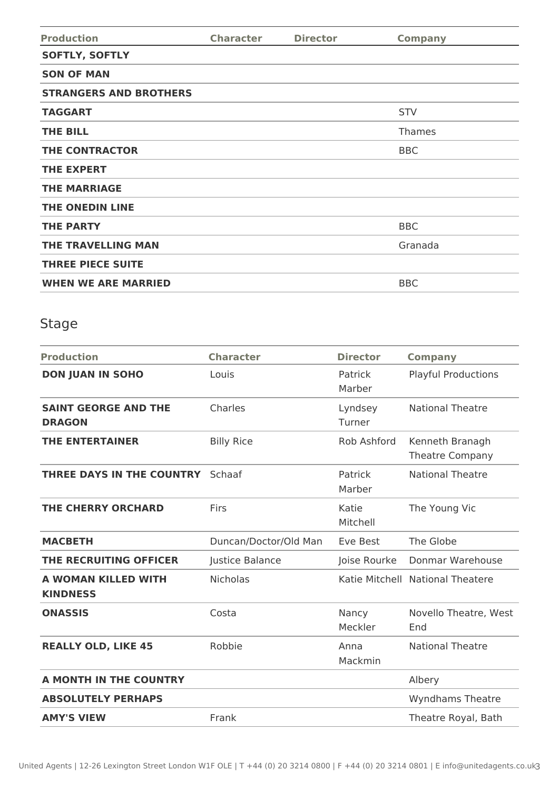| <b>Production</b>             | <b>Character</b> | <b>Director</b> | <b>Company</b> |
|-------------------------------|------------------|-----------------|----------------|
| <b>SOFTLY, SOFTLY</b>         |                  |                 |                |
| <b>SON OF MAN</b>             |                  |                 |                |
| <b>STRANGERS AND BROTHERS</b> |                  |                 |                |
| <b>TAGGART</b>                |                  |                 | <b>STV</b>     |
| <b>THE BILL</b>               |                  |                 | Thames         |
| <b>THE CONTRACTOR</b>         |                  |                 | <b>BBC</b>     |
| <b>THE EXPERT</b>             |                  |                 |                |
| <b>THE MARRIAGE</b>           |                  |                 |                |
| <b>THE ONEDIN LINE</b>        |                  |                 |                |
| <b>THE PARTY</b>              |                  |                 | <b>BBC</b>     |
| <b>THE TRAVELLING MAN</b>     |                  |                 | Granada        |
| <b>THREE PIECE SUITE</b>      |                  |                 |                |
| <b>WHEN WE ARE MARRIED</b>    |                  |                 | <b>BBC</b>     |

# Stage

| <b>Production</b>                            | <b>Character</b>      | <b>Director</b>   | <b>Company</b>                            |
|----------------------------------------------|-----------------------|-------------------|-------------------------------------------|
| <b>DON JUAN IN SOHO</b>                      | Louis                 | Patrick<br>Marber | <b>Playful Productions</b>                |
| <b>SAINT GEORGE AND THE</b><br><b>DRAGON</b> | Charles               | Lyndsey<br>Turner | <b>National Theatre</b>                   |
| <b>THE ENTERTAINER</b>                       | <b>Billy Rice</b>     | Rob Ashford       | Kenneth Branagh<br><b>Theatre Company</b> |
| THREE DAYS IN THE COUNTRY                    | Schaaf                | Patrick<br>Marber | <b>National Theatre</b>                   |
| <b>THE CHERRY ORCHARD</b>                    | Firs                  | Katie<br>Mitchell | The Young Vic                             |
| <b>MACBETH</b>                               | Duncan/Doctor/Old Man | Eve Best          | The Globe                                 |
| THE RECRUITING OFFICER                       | Justice Balance       | Joise Rourke      | Donmar Warehouse                          |
| A WOMAN KILLED WITH<br><b>KINDNESS</b>       | <b>Nicholas</b>       |                   | Katie Mitchell National Theatere          |
| <b>ONASSIS</b>                               | Costa                 | Nancy<br>Meckler  | Novello Theatre, West<br>End              |
| <b>REALLY OLD, LIKE 45</b>                   | Robbie                | Anna<br>Mackmin   | <b>National Theatre</b>                   |
| A MONTH IN THE COUNTRY                       |                       |                   | Albery                                    |
| <b>ABSOLUTELY PERHAPS</b>                    |                       |                   | <b>Wyndhams Theatre</b>                   |
| <b>AMY'S VIEW</b>                            | Frank                 |                   | Theatre Royal, Bath                       |